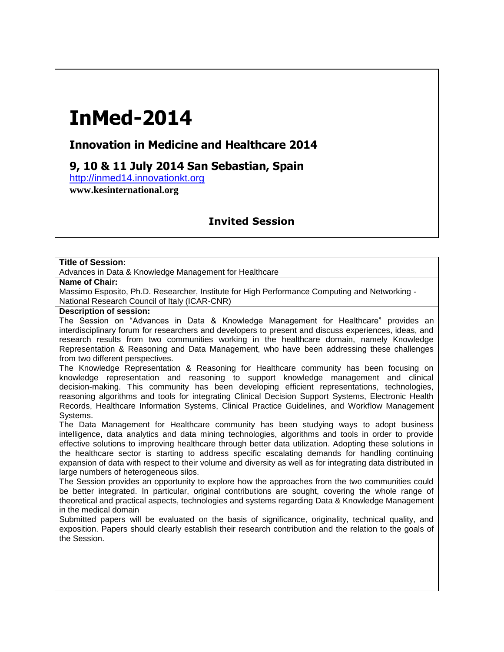# **InMed-2014**

## **Innovation in Medicine and Healthcare 2014**

# **9, 10 & 11 July 2014 San Sebastian, Spain**

http://inmed14.innovationkt.org

**www.kesinternational.org**

## **Invited Session**

#### **Title of Session:**

Advances in Data & Knowledge Management for Healthcare

#### **Name of Chair:**

Massimo Esposito, Ph.D. Researcher, Institute for High Performance Computing and Networking - National Research Council of Italy (ICAR-CNR)

#### **Description of session:**

The Session on "Advances in Data & Knowledge Management for Healthcare" provides an interdisciplinary forum for researchers and developers to present and discuss experiences, ideas, and research results from two communities working in the healthcare domain, namely Knowledge Representation & Reasoning and Data Management, who have been addressing these challenges from two different perspectives.

The Knowledge Representation & Reasoning for Healthcare community has been focusing on knowledge representation and reasoning to support knowledge management and clinical decision-making. This community has been developing efficient representations, technologies, reasoning algorithms and tools for integrating Clinical Decision Support Systems, Electronic Health Records, Healthcare Information Systems, Clinical Practice Guidelines, and Workflow Management Systems.

The Data Management for Healthcare community has been studying ways to adopt business intelligence, data analytics and data mining technologies, algorithms and tools in order to provide effective solutions to improving healthcare through better data utilization. Adopting these solutions in the healthcare sector is starting to address specific escalating demands for handling continuing expansion of data with respect to their volume and diversity as well as for integrating data distributed in large numbers of heterogeneous silos.

The Session provides an opportunity to explore how the approaches from the two communities could be better integrated. In particular, original contributions are sought, covering the whole range of theoretical and practical aspects, technologies and systems regarding Data & Knowledge Management in the medical domain

Submitted papers will be evaluated on the basis of significance, originality, technical quality, and exposition. Papers should clearly establish their research contribution and the relation to the goals of the Session.